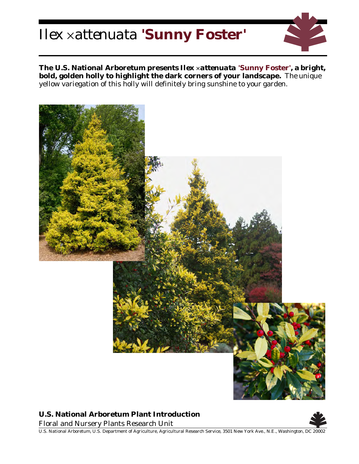## *Ilex ×attenuata* **'Sunny Foster'**



**The U.S. National Arboretum presents** *Ilex* **×***attenuata* **'Sunny Foster', a bright, bold, golden holly to highlight the dark corners of your landscape.** The unique yellow variegation of this holly will definitely bring sunshine to your garden.



**U.S. National Arboretum Plant Introduction**

Floral and Nursery Plants Research Unit



U.S. National Arboretum, U.S. Department of Agriculture, Agricultural Research Service, 3501 New York Ave., N.E., Washington, DC 20002